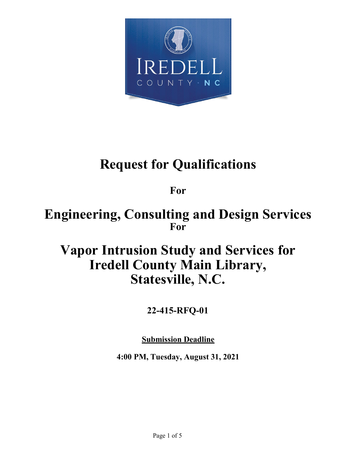

# **Request for Qualifications**

**For**

## **Engineering, Consulting and Design Services For**

## **Vapor Intrusion Study and Services for Iredell County Main Library, Statesville, N.C.**

### **22-415-RFQ-01**

**Submission Deadline**

**4:00 PM, Tuesday, August 31, 2021**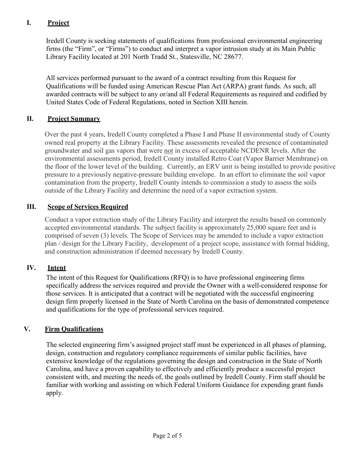#### **I. Project**

Iredell County is seeking statements of qualifications from professional environmental engineering firms (the "Firm", or "Firms") to conduct and interpret a vapor intrusion study at its Main Public Library Facility located at 201 North Tradd St., Statesville, NC 28677.

All services performed pursuant to the award of a contract resulting from this Request for Qualifications will be funded using American Rescue Plan Act (ARPA) grant funds. As such, all awarded contracts will be subject to any or/and all Federal Requirements as required and codified by United States Code of Federal Regulations, noted in Section XIII herein.

#### **II. Project Summary**

Over the past 4 years, Iredell County completed a Phase I and Phase II environmental study of County owned real property at the Library Facility. These assessments revealed the presence of contaminated groundwater and soil gas vapors that were not in excess of acceptable NCDENR levels. After the environmental assessments period, Iredell County installed Retro Coat (Vapor Barrier Membrane) on the floor of the lower level of the building. Currently, an ERV unit is being installed to provide positive pressure to a previously negative-pressure building envelope. In an effort to eliminate the soil vapor contamination from the property, Iredell County intends to commission a study to assess the soils outside of the Library Facility and determine the need of a vapor extraction system.

#### **III. Scope of Services Required**

Conduct a vapor extraction study of the Library Facility and interpret the results based on commonly accepted environmental standards. The subject facility is approximately 25,000 square feet and is comprised of seven (3) levels. The Scope of Services may be amended to include a vapor extraction plan / design for the Library Facility, development of a project scope, assistance with formal bidding, and construction administration if deemed necessary by Iredell County.

#### **IV. Intent**

The intent of this Request for Qualifications (RFQ) is to have professional engineering firms specifically address the services required and provide the Owner with a well-considered response for those services. It is anticipated that a contract will be negotiated with the successful engineering design firm properly licensed in the State of North Carolina on the basis of demonstrated competence and qualifications for the type of professional services required.

#### **V. Firm Qualifications**

The selected engineering firm's assigned project staff must be experienced in all phases of planning, design, construction and regulatory compliance requirements of similar public facilities, have extensive knowledge of the regulations governing the design and construction in the State of North Carolina, and have a proven capability to effectively and efficiently produce a successful project consistent with, and meeting the needs of, the goals outlined by Iredell County. Firm staff should be familiar with working and assisting on which Federal Uniform Guidance for expending grant funds apply.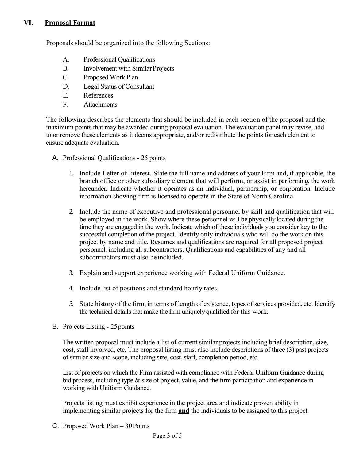#### **VI. Proposal Format**

Proposals should be organized into the following Sections:

- A. Professional Qualifications
- B. Involvement with Similar Projects
- C. Proposed Work Plan
- D. Legal Status of Consultant
- E. References
- F. Attachments

The following describes the elements that should be included in each section of the proposal and the maximum points that may be awarded during proposal evaluation. The evaluation panel may revise, add to or remove these elements as it deems appropriate, and/or redistribute the points for each element to ensure adequate evaluation.

- A. Professional Qualifications 25 points
	- 1. Include Letter of Interest. State the full name and address of your Firm and, if applicable, the branch office or other subsidiary element that will perform, or assist in performing, the work hereunder. Indicate whether it operates as an individual, partnership, or corporation. Include information showing firm is licensed to operate in the State of North Carolina.
	- 2. Include the name of executive and professional personnel by skill and qualification that will be employed in the work. Show where these personnel will be physicallylocated during the time they are engaged in the work. Indicate which of these individuals you consider key to the successful completion of the project. Identify only individuals who will do the work on this project by name and title. Resumes and qualifications are required for all proposed project personnel, including all subcontractors. Qualifications and capabilities of any and all subcontractors must also be included.
	- 3. Explain and support experience working with Federal Uniform Guidance.
	- 4. Include list of positions and standard hourly rates.
	- 5. State history of the firm, in terms of length of existence, types of services provided, etc. Identify the technical details that make the firm uniquely qualified for this work.
- B. Projects Listing 25 points

The written proposal must include a list of current similar projects including brief description, size, cost, staff involved, etc. The proposal listing must also include descriptions of three (3) past projects of similar size and scope, including size, cost, staff, completion period, etc.

List of projects on which the Firm assisted with compliance with Federal Uniform Guidance during bid process, including type & size of project, value, and the firm participation and experience in working with Uniform Guidance.

Projects listing must exhibit experience in the project area and indicate proven ability in implementing similar projects for the firm **and** the individuals to be assigned to this project.

C. Proposed Work Plan – 30Points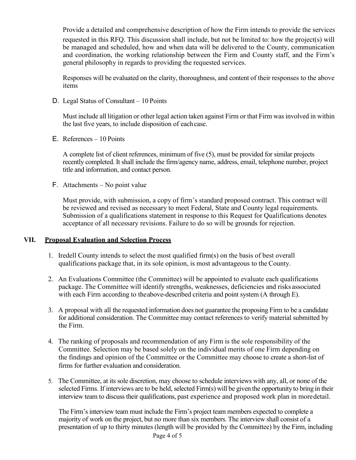Provide a detailed and comprehensive description of how the Firm intends to provide the services requested in this RFQ. This discussion shall include, but not be limited to: how the project(s) will be managed and scheduled, how and when data will be delivered to the County, communication and coordination, the working relationship between the Firm and County staff, and the Firm's general philosophy in regards to providing the requested services.

Responses will be evaluated on the clarity, thoroughness, and content of their responses to the above items

D. Legal Status of Consultant – 10 Points

Must include all litigation or other legal action taken against Firm or that Firm was involved in within the last five years, to include disposition of eachcase.

E. References – 10 Points

A complete list of client references, minimum of five (5), must be provided for similar projects recently completed. It shall include the firm/agency name, address, email, telephone number, project title and information, and contact person.

F. Attachments – No point value

Must provide, with submission, a copy of firm's standard proposed contract. This contract will be reviewed and revised as necessary to meet Federal, State and County legal requirements. Submission of a qualifications statement in response to this Request for Qualifications denotes acceptance of all necessary revisions. Failure to do so will be grounds for rejection.

#### **VII. Proposal Evaluation and Selection Process**

- 1. Iredell County intends to select the most qualified firm(s) on the basis of best overall qualifications package that, in its sole opinion, is most advantageous to the County.
- 2. An Evaluations Committee (the Committee) will be appointed to evaluate each qualifications package. The Committee will identify strengths, weaknesses, deficiencies and risks associated with each Firm according to the above-described criteria and point system (A through E).
- 3. A proposal with all the requested information does not guarantee the proposing Firm to be a candidate for additional consideration. The Committee may contact references to verify material submitted by the Firm.
- 4. The ranking of proposals and recommendation of any Firm is the sole responsibility of the Committee. Selection may be based solely on the individual merits of one Firm depending on the findings and opinion of the Committee or the Committee may choose to create a short-list of firms for further evaluation and consideration.
- 5. The Committee, at its sole discretion, may choose to schedule interviews with any, all, or none of the selected Firms. If interviews are to be held, selected Firm(s) will be given the opportunityto bring in their interview team to discuss their qualifications, past experience and proposed work plan in moredetail.

The Firm's interview team must include the Firm's project team members expected to complete a majority of work on the project, but no more than six members. The interview shall consist of a presentation of up to thirty minutes (length will be provided by the Committee) by the Firm, including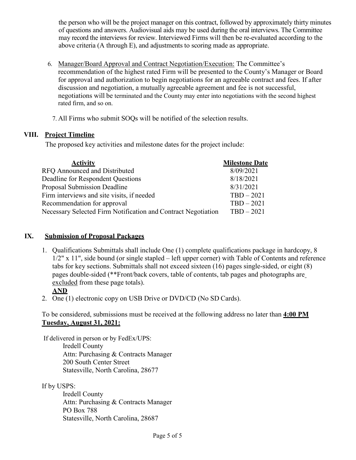the person who will be the project manager on this contract, followed by approximately thirty minutes of questions and answers. Audiovisual aids may be used during the oral interviews. The Committee may record the interviews for review. Interviewed Firms will then be re-evaluated according to the above criteria (A through E), and adjustments to scoring made as appropriate.

- 6. Manager/Board Approval and Contract Negotiation/Execution: The Committee's recommendation of the highest rated Firm will be presented to the County's Manager or Board for approval and authorization to begin negotiations for an agreeable contract and fees. If after discussion and negotiation, a mutually agreeable agreement and fee is not successful, negotiations will be terminated and the County may enter into negotiations with the second highest rated firm, and so on.
	- 7. All Firms who submit SOQs will be notified of the selection results.

#### **VIII. Project Timeline**

The proposed key activities and milestone dates for the project include:

| <b>Activity</b>                                               | <b>Milestone Date</b> |
|---------------------------------------------------------------|-----------------------|
| RFO Announced and Distributed                                 | 8/09/2021             |
| Deadline for Respondent Questions                             | 8/18/2021             |
| <b>Proposal Submission Deadline</b>                           | 8/31/2021             |
| Firm interviews and site visits, if needed                    | $TBD-2021$            |
| Recommendation for approval                                   | $TBD - 2021$          |
| Necessary Selected Firm Notification and Contract Negotiation | $TBD-2021$            |

#### **IX. Submission of Proposal Packages**

1. Qualifications Submittals shall include One (1) complete qualifications package in hardcopy, 8 1/2" x 11", side bound (or single stapled – left upper corner) with Table of Contents and reference tabs for key sections. Submittals shall not exceed sixteen (16) pages single-sided, or eight (8) pages double-sided (\*\*Front/back covers, table of contents, tab pages and photographs are excluded from these page totals).

#### **AND**

2. One (1) electronic copy on USB Drive or DVD/CD (No SD Cards).

To be considered, submissions must be received at the following address no later than **4:00 PM Tuesday, August 31, 2021:**

If delivered in person or by FedEx/UPS: Iredell County Attn: Purchasing & Contracts Manager 200 South Center Street Statesville, North Carolina, 28677

If by USPS:

Iredell County Attn: Purchasing & Contracts Manager PO Box 788 Statesville, North Carolina, 28687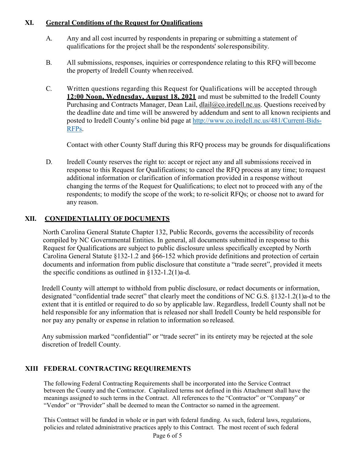#### **XI. General Conditions of the Request for Qualifications**

- A. Any and all cost incurred by respondents in preparing or submitting a statement of qualifications for the project shall be the respondents' soleresponsibility.
- B. All submissions, responses, inquiries or correspondence relating to this RFQ will become the property of Iredell County when received.
- C. Written questions regarding this Request for Qualifications will be accepted through **12:00 Noon, Wednesday, August 18, 2021** and must be submitted to the Iredell County Purchasing and Contracts Manager, Dean Lail, [dlail@co.iredell.nc.us.](mailto:dlail@co.iredell.nc.us) Questions received by the deadline date and time will be answered by addendum and sent to all known recipients and posted to Iredell County's online bid page at [http://www.co.iredell.nc.us/481/Current-Bids-](http://www.co.iredell.nc.us/481/Current-Bids-RFPs)[RFPs.](http://www.co.iredell.nc.us/481/Current-Bids-RFPs)

Contact with other County Staff during this RFQ process may be grounds for disqualifications

D. Iredell County reserves the right to: accept or reject any and all submissions received in response to this Request for Qualifications; to cancel the RFQ process at any time; to request additional information or clarification of information provided in a response without changing the terms of the Request for Qualifications; to elect not to proceed with any of the respondents; to modify the scope of the work; to re-solicit RFQs; or choose not to award for any reason.

#### **XII. CONFIDENTIALITY OF DOCUMENTS**

North Carolina General Statute Chapter 132, Public Records, governs the accessibility of records compiled by NC Governmental Entities. In general, all documents submitted in response to this Request for Qualifications are subject to public disclosure unless specifically excepted by North Carolina General Statute §132-1.2 and §66-152 which provide definitions and protection of certain documents and information from public disclosure that constitute a "trade secret", provided it meets the specific conditions as outlined in  $§132-1.2(1)a-d$ .

Iredell County will attempt to withhold from public disclosure, or redact documents or information, designated "confidential trade secret" that clearly meet the conditions of NC G.S. §132-1.2(1)a-d to the extent that it is entitled or required to do so by applicable law. Regardless, Iredell County shall not be held responsible for any information that is released nor shall Iredell County be held responsible for nor pay any penalty or expense in relation to information so released.

Any submission marked "confidential" or "trade secret" in its entirety may be rejected at the sole discretion of Iredell County.

#### **XIII FEDERAL CONTRACTING REQUIREMENTS**

The following Federal Contracting Requirements shall be incorporated into the Service Contract between the County and the Contractor. Capitalized terms not defined in this Attachment shall have the meanings assigned to such terms in the Contract. All references to the "Contractor" or "Company" or "Vendor" or "Provider" shall be deemed to mean the Contractor so named in the agreement.

This Contract will be funded in whole or in part with federal funding. As such, federal laws, regulations, policies and related administrative practices apply to this Contract. The most recent of such federal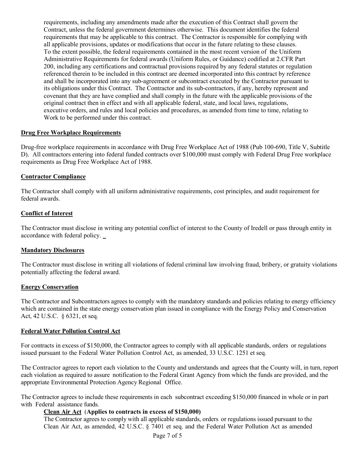requirements, including any amendments made after the execution of this Contract shall govern the Contract, unless the federal government determines otherwise. This document identifies the federal requirements that may be applicable to this contract. The Contractor is responsible for complying with all applicable provisions, updates or modifications that occur in the future relating to these clauses. To the extent possible, the federal requirements contained in the most recent version of the Uniform Administrative Requirements for federal awards (Uniform Rules, or Guidance) codified at 2.CFR Part 200, including any certifications and contractual provisions required by any federal statutes or regulation referenced therein to be included in this contract are deemed incorporated into this contract by reference and shall be incorporated into any sub-agreement or subcontract executed by the Contractor pursuant to its obligations under this Contract. The Contractor and its sub-contractors, if any, hereby represent and covenant that they are have complied and shall comply in the future with the applicable provisions of the original contract then in effect and with all applicable federal, state, and local laws, regulations, executive orders, and rules and local policies and procedures, as amended from time to time, relating to Work to be performed under this contract.

#### **Drug Free Workplace Requirements**

Drug-free workplace requirements in accordance with Drug Free Workplace Act of 1988 (Pub 100-690, Title V, Subtitle D). All contractors entering into federal funded contracts over \$100,000 must comply with Federal Drug Free workplace requirements as Drug Free Workplace Act of 1988.

#### **Contractor Compliance**

The Contractor shall comply with all uniform administrative requirements, cost principles, and audit requirement for federal awards.

#### **Conflict of Interest**

The Contractor must disclose in writing any potential conflict of interest to the County of Iredell or pass through entity in accordance with federal policy.

#### **Mandatory Disclosures**

The Contractor must disclose in writing all violations of federal criminal law involving fraud, bribery, or gratuity violations potentially affecting the federal award.

#### **Energy Conservation**

The Contractor and Subcontractors agrees to comply with the mandatory standards and policies relating to energy efficiency which are contained in the state energy conservation plan issued in compliance with the Energy Policy and Conservation Act, 42 U.S.C. § 6321, et seq.

#### **Federal Water Pollution Control Act**

For contracts in excess of \$150,000, the Contractor agrees to comply with all applicable standards, orders or regulations issued pursuant to the Federal Water Pollution Control Act, as amended, 33 U.S.C. 1251 et seq.

The Contractor agrees to report each violation to the County and understands and agrees that the County will, in turn, report each violation as required to assure notification to the Federal Grant Agency from which the funds are provided, and the appropriate Environmental Protection Agency Regional Office.

The Contractor agrees to include these requirements in each subcontract exceeding \$150,000 financed in whole or in part with Federal assistance funds.

#### **Clean Air Act** (**Applies to contracts in excess of \$150,000)**

The Contractor agrees to comply with all applicable standards, orders or regulations issued pursuant to the Clean Air Act, as amended, 42 U.S.C. § 7401 et seq. and the Federal Water Pollution Act as amended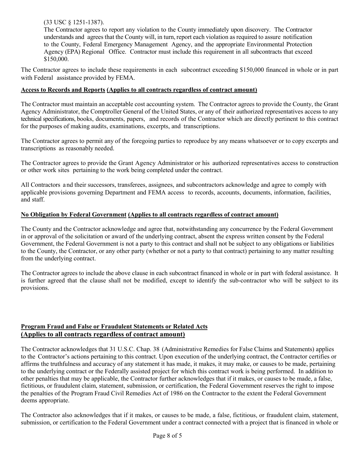#### (33 USC § 1251-1387).

The Contractor agrees to report any violation to the County immediately upon discovery. The Contractor understands and agrees that the County will, in turn, report each violation as required to assure notification to the County, Federal Emergency Management Agency, and the appropriate Environmental Protection Agency (EPA) Regional Office. Contractor must include this requirement in all subcontracts that exceed \$150,000.

The Contractor agrees to include these requirements in each subcontract exceeding \$150,000 financed in whole or in part with Federal assistance provided by FEMA.

#### **Access to Records and Reports (Applies to all contracts regardless of contract amount)**

The Contractor must maintain an acceptable cost accounting system. The Contractor agrees to provide the County, the Grant Agency Administrator, the Comptroller General of the United States, or any of their authorized representatives access to any technical specifications, books, documents, papers, and records of the Contractor which are directly pertinent to this contract for the purposes of making audits, examinations, excerpts, and transcriptions.

The Contractor agrees to permit any of the foregoing parties to reproduce by any means whatsoever or to copy excerpts and transcriptions as reasonably needed.

The Contractor agrees to provide the Grant Agency Administrator or his authorized representatives access to construction or other work sites pertaining to the work being completed under the contract.

All Contractors a nd their successors, transferees, assignees, and subcontractors acknowledge and agree to comply with applicable provisions governing Department and FEMA access to records, accounts, documents, information, facilities, and staff.

#### **No Obligation by Federal Government (Applies to all contracts regardless of contract amount)**

The County and the Contractor acknowledge and agree that, notwithstanding any concurrence by the Federal Government in or approval of the solicitation or award of the underlying contract, absent the express written consent by the Federal Government, the Federal Government is not a party to this contract and shall not be subject to any obligations or liabilities to the County, the Contractor, or any other party (whether or not a party to that contract) pertaining to any matter resulting from the underlying contract.

The Contractor agrees to include the above clause in each subcontract financed in whole or in part with federal assistance. It is further agreed that the clause shall not be modified, except to identify the sub-contractor who will be subject to its provisions.

#### **Program Fraud and False or Fraudulent Statements or Related Acts (Applies to all contracts regardless of contract amount)**

The Contractor acknowledges that 31 U.S.C. Chap. 38 (Administrative Remedies for False Claims and Statements) applies to the Contractor's actions pertaining to this contract. Upon execution of the underlying contract, the Contractor certifies or affirms the truthfulness and accuracy of any statement it has made, it makes, it may make, or causes to be made, pertaining to the underlying contract or the Federally assisted project for which this contract work is being performed. In addition to other penalties that may be applicable, the Contractor further acknowledges that if it makes, or causes to be made, a false, fictitious, or fraudulent claim, statement, submission, or certification, the Federal Government reserves the right to impose the penalties of the Program Fraud Civil Remedies Act of 1986 on the Contractor to the extent the Federal Government deems appropriate.

The Contractor also acknowledges that if it makes, or causes to be made, a false, fictitious, or fraudulent claim, statement, submission, or certification to the Federal Government under a contract connected with a project that is financed in whole or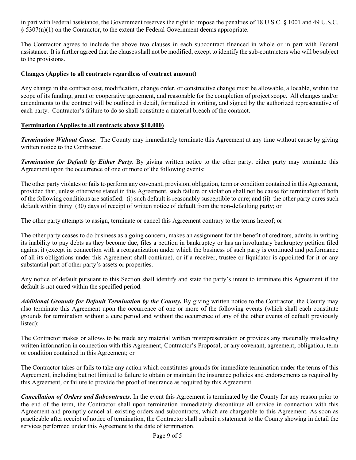in part with Federal assistance, the Government reserves the right to impose the penalties of 18 U.S.C. § 1001 and 49 U.S.C.  $\S$  5307(n)(1) on the Contractor, to the extent the Federal Government deems appropriate.

The Contractor agrees to include the above two clauses in each subcontract financed in whole or in part with Federal assistance. It is further agreed that the clauses shall not be modified, except to identify the sub-contractors who will be subject to the provisions.

#### **Changes (Applies to all contracts regardless of contract amount)**

Any change in the contract cost, modification, change order, or constructive change must be allowable, allocable, within the scope of its funding, grant or cooperative agreement, and reasonable for the completion of project scope. All changes and/or amendments to the contract will be outlined in detail, formalized in writing, and signed by the authorized representative of each party. Contractor's failure to do so shall constitute a material breach of the contract.

#### **Termination (Applies to all contracts above \$10,000)**

*Termination Without Cause*. The County may immediately terminate this Agreement at any time without cause by giving written notice to the Contractor.

*Termination for Default by Either Party*. By giving written notice to the other party, either party may terminate this Agreement upon the occurrence of one or more of the following events:

The other party violates or fails to perform any covenant, provision, obligation, term or condition contained in this Agreement, provided that, unless otherwise stated in this Agreement, such failure or violation shall not be cause for termination if both of the following conditions are satisfied: (i) such default is reasonably susceptible to cure; and (ii) the other party cures such default within thirty (30) days of receipt of written notice of default from the non-defaulting party; or

The other party attempts to assign, terminate or cancel this Agreement contrary to the terms hereof; or

The other party ceases to do business as a going concern, makes an assignment for the benefit of creditors, admits in writing its inability to pay debts as they become due, files a petition in bankruptcy or has an involuntary bankruptcy petition filed against it (except in connection with a reorganization under which the business of such party is continued and performance of all its obligations under this Agreement shall continue), or if a receiver, trustee or liquidator is appointed for it or any substantial part of other party's assets or properties.

Any notice of default pursuant to this Section shall identify and state the party's intent to terminate this Agreement if the default is not cured within the specified period.

Additional Grounds for Default Termination by the County. By giving written notice to the Contractor, the County may also terminate this Agreement upon the occurrence of one or more of the following events (which shall each constitute grounds for termination without a cure period and without the occurrence of any of the other events of default previously listed):

The Contractor makes or allows to be made any material written misrepresentation or provides any materially misleading written information in connection with this Agreement, Contractor's Proposal, or any covenant, agreement, obligation, term or condition contained in this Agreement; or

The Contractor takes or fails to take any action which constitutes grounds for immediate termination under the terms of this Agreement, including but not limited to failure to obtain or maintain the insurance policies and endorsements as required by this Agreement, or failure to provide the proof of insurance as required by this Agreement.

*Cancellation of Orders and Subcontracts*. In the event this Agreement is terminated by the County for any reason prior to the end of the term, the Contractor shall upon termination immediately discontinue all service in connection with this Agreement and promptly cancel all existing orders and subcontracts, which are chargeable to this Agreement. As soon as practicable after receipt of notice of termination, the Contractor shall submit a statement to the County showing in detail the services performed under this Agreement to the date of termination.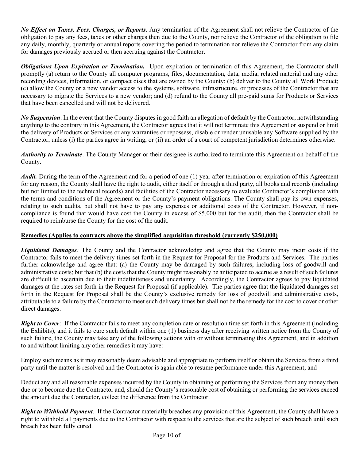*No Effect on Taxes, Fees, Charges, or Reports*. Any termination of the Agreement shall not relieve the Contractor of the obligation to pay any fees, taxes or other charges then due to the County, nor relieve the Contractor of the obligation to file any daily, monthly, quarterly or annual reports covering the period to termination nor relieve the Contractor from any claim for damages previously accrued or then accruing against the Contractor.

*Obligations Upon Expiration or Termination.* Upon expiration or termination of this Agreement, the Contractor shall promptly (a) return to the County all computer programs, files, documentation, data, media, related material and any other recording devices, information, or compact discs that are owned by the County; (b) deliver to the County all Work Product; (c) allow the County or a new vendor access to the systems, software, infrastructure, or processes of the Contractor that are necessary to migrate the Services to a new vendor; and (d) refund to the County all pre-paid sums for Products or Services that have been cancelled and will not be delivered.

*No Suspension*. In the event that the County disputes in good faith an allegation of default by the Contractor, notwithstanding anything to the contrary in this Agreement, the Contractor agrees that it will not terminate this Agreement or suspend or limit the delivery of Products or Services or any warranties or repossess, disable or render unusable any Software supplied by the Contractor, unless (i) the parties agree in writing, or (ii) an order of a court of competent jurisdiction determines otherwise.

*Authority to Terminate*. The County Manager or their designee is authorized to terminate this Agreement on behalf of the County.

*Audit.* During the term of the Agreement and for a period of one (1) year after termination or expiration of this Agreement for any reason, the County shall have the right to audit, either itself or through a third party, all books and records (including but not limited to the technical records) and facilities of the Contractor necessary to evaluate Contractor's compliance with the terms and conditions of the Agreement or the County's payment obligations. The County shall pay its own expenses, relating to such audits, but shall not have to pay any expenses or additional costs of the Contractor. However, if noncompliance is found that would have cost the County in excess of \$5,000 but for the audit, then the Contractor shall be required to reimburse the County for the cost of the audit.

#### **Remedies (Applies to contracts above the simplified acquisition threshold (currently \$250,000)**

*Liquidated Damages:* The County and the Contractor acknowledge and agree that the County may incur costs if the Contractor fails to meet the delivery times set forth in the Request for Proposal for the Products and Services. The parties further acknowledge and agree that: (a) the County may be damaged by such failures, including loss of goodwill and administrative costs; but that (b) the costs that the County might reasonably be anticipated to accrue as a result of such failures are difficult to ascertain due to their indefiniteness and uncertainty. Accordingly, the Contractor agrees to pay liquidated damages at the rates set forth in the Request for Proposal (if applicable). The parties agree that the liquidated damages set forth in the Request for Proposal shall be the County's exclusive remedy for loss of goodwill and administrative costs, attributable to a failure by the Contractor to meet such delivery times but shall not be the remedy for the cost to cover or other direct damages.

*Right to Cover*: If the Contractor fails to meet any completion date or resolution time set forth in this Agreement (including the Exhibits), and it fails to cure such default within one (1) business day after receiving written notice from the County of such failure, the County may take any of the following actions with or without terminating this Agreement, and in addition to and without limiting any other remedies it may have:

Employ such means as it may reasonably deem advisable and appropriate to perform itself or obtain the Services from a third party until the matter is resolved and the Contractor is again able to resume performance under this Agreement; and

Deduct any and all reasonable expenses incurred by the County in obtaining or performing the Services from any money then due or to become due the Contractor and, should the County's reasonable cost of obtaining or performing the services exceed the amount due the Contractor, collect the difference from the Contractor.

*Right to Withhold Payment.* If the Contractor materially breaches any provision of this Agreement, the County shall have a right to withhold all payments due to the Contractor with respect to the services that are the subject of such breach until such breach has been fully cured.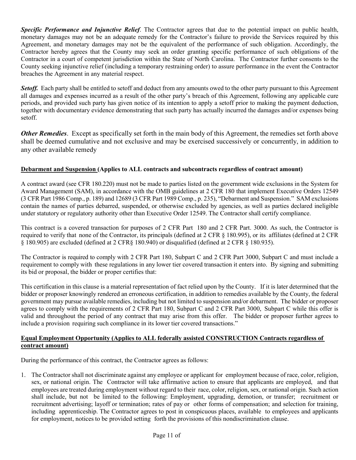*Specific Performance and Injunctive Relief*. The Contractor agrees that due to the potential impact on public health, monetary damages may not be an adequate remedy for the Contractor's failure to provide the Services required by this Agreement, and monetary damages may not be the equivalent of the performance of such obligation. Accordingly, the Contractor hereby agrees that the County may seek an order granting specific performance of such obligations of the Contractor in a court of competent jurisdiction within the State of North Carolina. The Contractor further consents to the County seeking injunctive relief (including a temporary restraining order) to assure performance in the event the Contractor breaches the Agreement in any material respect.

**Setoff.** Each party shall be entitled to setoff and deduct from any amounts owed to the other party pursuant to this Agreement all damages and expenses incurred as a result of the other party's breach of this Agreement, following any applicable cure periods, and provided such party has given notice of its intention to apply a setoff prior to making the payment deduction, together with documentary evidence demonstrating that such party has actually incurred the damages and/or expenses being setoff.

*Other Remedies*. Except as specifically set forth in the main body of this Agreement, the remedies set forth above shall be deemed cumulative and not exclusive and may be exercised successively or concurrently, in addition to any other available remedy

#### **Debarment and Suspension (Applies to ALL contracts and subcontracts regardless of contract amount)**

A contract award (see CFR 180.220) must not be made to parties listed on the government wide exclusions in the System for Award Management (SAM), in accordance with the OMB guidelines at 2 CFR 180 that implement Executive Orders 12549 (3 CFR Part 1986 Comp., p. 189) and 12689 (3 CFR Part 1989 Comp., p. 235), "Debarment and Suspension." SAM exclusions contain the names of parties debarred, suspended, or otherwise excluded by agencies, as well as parties declared ineligible under statutory or regulatory authority other than Executive Order 12549. The Contractor shall certify compliance.

This contract is a covered transaction for purposes of 2 CFR Part 180 and 2 CFR Part. 3000. As such, the Contractor is required to verify that none of the Contractor, its principals (defined at 2 CFR § 180.995), or its affiliates (defined at 2 CFR § 180.905) are excluded (defined at 2 CFR§ 180.940) or disqualified (defined at 2 CFR § 180.935).

The Contractor is required to comply with 2 CFR Part 180, Subpart C and 2 CFR Part 3000, Subpart C and must include a requirement to comply with these regulations in any lower tier covered transaction it enters into. By signing and submitting its bid or proposal, the bidder or proper certifies that:

This certification in this clause is a material representation of fact relied upon by the County. If it is later determined that the bidder or proposer knowingly rendered an erroneous certification, in addition to remedies available by the County, the federal government may pursue available remedies, including but not limited to suspension and/or debarment. The bidder or proposer agrees to comply with the requirements of 2 CFR Part 180, Subpart C and 2 CFR Part 3000, Subpart C while this offer is valid and throughout the period of any contract that may arise from this offer. The bidder or proposer further agrees to include a provision requiring such compliance in its lower tier covered transactions."

#### **Equal Employment Opportunity (Applies to ALL federally assisted CONSTRUCTION Contracts regardless of contract amount)**

During the performance of this contract, the Contractor agrees as follows:

1. The Contractor shall not discriminate against any employee or applicant for employment because of race, color, religion, sex, or national origin. The Contractor will take affirmative action to ensure that applicants are employed, and that employees are treated during employment without regard to their race, color, religion, sex, or national origin. Such action shall include, but not be limited to the following: Employment, upgrading, demotion, or transfer; recruitment or recruitment advertising; layoff or termination; rates of pay or other forms of compensation; and selection for training, including apprenticeship. The Contractor agrees to post in conspicuous places, available to employees and applicants for employment, notices to be provided setting forth the provisions of this nondiscrimination clause.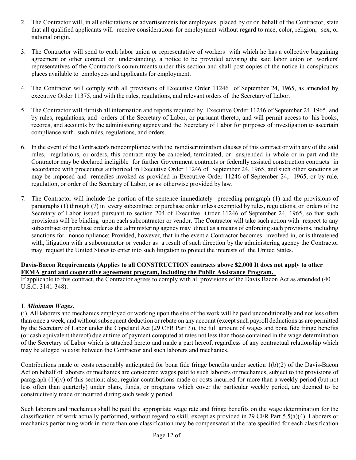- 2. The Contractor will, in all solicitations or advertisements for employees placed by or on behalf of the Contractor, state that all qualified applicants will receive considerations for employment without regard to race, color, religion, sex, or national origin.
- 3. The Contractor will send to each labor union or representative of workers with which he has a collective bargaining agreement or other contract or understanding, a notice to be provided advising the said labor union or workers' representatives of the Contractor's commitments under this section and shall post copies of the notice in conspicuous places available to employees and applicants for employment.
- 4. The Contractor will comply with all provisions of Executive Order 11246 of September 24, 1965, as amended by executive Order 11375, and with the rules, regulations, and relevant orders of the Secretary of Labor.
- 5. The Contractor will furnish all information and reports required by Executive Order 11246 of September 24, 1965, and by rules, regulations, and orders of the Secretary of Labor, or pursuant thereto, and will permit access to his books, records, and accounts by the administering agency and the Secretary of Labor for purposes of investigation to ascertain compliance with such rules, regulations, and orders.
- 6. In the event of the Contractor's noncompliance with the nondiscrimination clauses of this contract or with any of the said rules, regulations, or orders, this contract may be canceled, terminated, or suspended in whole or in part and the Contractor may be declared ineligible for further Government contracts or federally assisted construction contracts in accordance with procedures authorized in Executive Order 11246 of September 24, 1965, and such other sanctions as may be imposed and remedies invoked as provided in Executive Order 11246 of September 24, 1965, or by rule, regulation, or order of the Secretary of Labor, or as otherwise provided by law.
- 7. The Contractor will include the portion of the sentence immediately preceding paragraph (1) and the provisions of paragraphs (1) through (7) in every subcontract or purchase order unless exempted by rules, regulations, or orders of the Secretary of Labor issued pursuant to section 204 of Executive Order 11246 of September 24, 1965, so that such provisions will be binding upon each subcontractor or vendor. The Contractor will take such action with respect to any subcontract or purchase order as the administering agency may direct as a means of enforcing such provisions, including sanctions for noncompliance: Provided, however, that in the event a Contractor becomes involved in, or is threatened with, litigation with a subcontractor or vendor as a result of such direction by the administering agency the Contractor may request the United States to enter into such litigation to protect the interests of the United States.

#### **Davis-Bacon Requirements (Applies to all CONSTRUCTION contracts above \$2,000 It does not apply to other FEMA grant and cooperative agreement program, including the Public Assistance Program.**

If applicable to this contract, the Contractor agrees to comply with all provisions of the Davis Bacon Act as amended (40 U.S.C. 3141-348).

#### 1. *Minimum Wages*.

(i) All laborers and mechanics employed or working upon the site of the work will be paid unconditionally and not less often than once a week, and without subsequent deduction or rebate on any account (except such payroll deductions as are permitted by the Secretary of Labor under the Copeland Act (29 CFR Part 3)), the full amount of wages and bona fide fringe benefits (or cash equivalent thereof) due at time of payment computed at rates not less than those contained in the wage determination of the Secretary of Labor which is attached hereto and made a part hereof, regardless of any contractual relationship which may be alleged to exist between the Contractor and such laborers and mechanics.

Contributions made or costs reasonably anticipated for bona fide fringe benefits under section 1(b)(2) of the Davis-Bacon Act on behalf of laborers or mechanics are considered wages paid to such laborers or mechanics, subject to the provisions of paragraph (1)(iv) of this section; also, regular contributions made or costs incurred for more than a weekly period (but not less often than quarterly) under plans, funds, or programs which cover the particular weekly period, are deemed to be constructively made or incurred during such weekly period.

Such laborers and mechanics shall be paid the appropriate wage rate and fringe benefits on the wage determination for the classification of work actually performed, without regard to skill, except as provided in 29 CFR Part 5.5(a)(4). Laborers or mechanics performing work in more than one classification may be compensated at the rate specified for each classification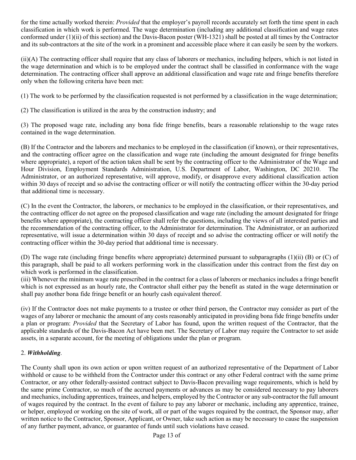for the time actually worked therein: *Provided* that the employer's payroll records accurately set forth the time spent in each classification in which work is performed. The wage determination (including any additional classification and wage rates conformed under (1)(ii) of this section) and the Davis-Bacon poster (WH-1321) shall be posted at all times by the Contractor and its sub-contractors at the site of the work in a prominent and accessible place where it can easily be seen by the workers.

(ii)(A) The contracting officer shall require that any class of laborers or mechanics, including helpers, which is not listed in the wage determination and which is to be employed under the contract shall be classified in conformance with the wage determination. The contracting officer shall approve an additional classification and wage rate and fringe benefits therefore only when the following criteria have been met:

(1) The work to be performed by the classification requested is not performed by a classification in the wage determination;

(2) The classification is utilized in the area by the construction industry; and

(3) The proposed wage rate, including any bona fide fringe benefits, bears a reasonable relationship to the wage rates contained in the wage determination.

(B) If the Contractor and the laborers and mechanics to be employed in the classification (if known), or their representatives, and the contracting officer agree on the classification and wage rate (including the amount designated for fringe benefits where appropriate), a report of the action taken shall be sent by the contracting officer to the Administrator of the Wage and Hour Division, Employment Standards Administration, U.S. Department of Labor, Washington, DC 20210. The Administrator, or an authorized representative, will approve, modify, or disapprove every additional classification action within 30 days of receipt and so advise the contracting officer or will notify the contracting officer within the 30-day period that additional time is necessary.

(C) In the event the Contractor, the laborers, or mechanics to be employed in the classification, or their representatives, and the contracting officer do not agree on the proposed classification and wage rate (including the amount designated for fringe benefits where appropriate), the contracting officer shall refer the questions, including the views of all interested parties and the recommendation of the contracting officer, to the Administrator for determination. The Administrator, or an authorized representative, will issue a determination within 30 days of receipt and so advise the contracting officer or will notify the contracting officer within the 30-day period that additional time is necessary.

(D) The wage rate (including fringe benefits where appropriate) determined pursuant to subparagraphs (1)(ii) (B) or (C) of this paragraph, shall be paid to all workers performing work in the classification under this contract from the first day on which work is performed in the classification.

(iii) Whenever the minimum wage rate prescribed in the contract for a class of laborers or mechanics includes a fringe benefit which is not expressed as an hourly rate, the Contractor shall either pay the benefit as stated in the wage determination or shall pay another bona fide fringe benefit or an hourly cash equivalent thereof.

(iv) If the Contractor does not make payments to a trustee or other third person, the Contractor may consider as part of the wages of any laborer or mechanic the amount of any costs reasonably anticipated in providing bona fide fringe benefits under a plan or program: *Provided* that the Secretary of Labor has found, upon the written request of the Contractor, that the applicable standards of the Davis-Bacon Act have been met. The Secretary of Labor may require the Contractor to set aside assets, in a separate account, for the meeting of obligations under the plan or program.

#### 2. *Withholding*.

The County shall upon its own action or upon written request of an authorized representative of the Department of Labor withhold or cause to be withheld from the Contractor under this contract or any other Federal contract with the same prime Contractor, or any other federally-assisted contract subject to Davis-Bacon prevailing wage requirements, which is held by the same prime Contractor, so much of the accrued payments or advances as may be considered necessary to pay laborers and mechanics, including apprentices, trainees, and helpers, employed by the Contractor or any sub-contractor the full amount of wages required by the contract. In the event of failure to pay any laborer or mechanic, including any apprentice, trainee, or helper, employed or working on the site of work, all or part of the wages required by the contract, the Sponsor may, after written notice to the Contractor, Sponsor, Applicant, or Owner, take such action as may be necessary to cause the suspension of any further payment, advance, or guarantee of funds until such violations have ceased.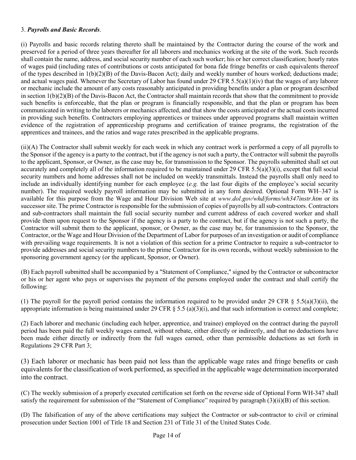#### 3. *Payrolls and Basic Records*.

(i) Payrolls and basic records relating thereto shall be maintained by the Contractor during the course of the work and preserved for a period of three years thereafter for all laborers and mechanics working at the site of the work. Such records shall contain the name, address, and social security number of each such worker; his or her correct classification; hourly rates of wages paid (including rates of contributions or costs anticipated for bona fide fringe benefits or cash equivalents thereof of the types described in 1(b)(2)(B) of the Davis-Bacon Act); daily and weekly number of hours worked; deductions made; and actual wages paid. Whenever the Secretary of Labor has found under 29 CFR 5.5(a)(1)(iv) that the wages of any laborer or mechanic include the amount of any costs reasonably anticipated in providing benefits under a plan or program described in section 1(b)(2)(B) of the Davis-Bacon Act, the Contractor shall maintain records that show that the commitment to provide such benefits is enforceable, that the plan or program is financially responsible, and that the plan or program has been communicated in writing to the laborers or mechanics affected, and that show the costs anticipated or the actual costs incurred in providing such benefits. Contractors employing apprentices or trainees under approved programs shall maintain written evidence of the registration of apprenticeship programs and certification of trainee programs, the registration of the apprentices and trainees, and the ratios and wage rates prescribed in the applicable programs.

(ii)(A) The Contractor shall submit weekly for each week in which any contract work is performed a copy of all payrolls to the Sponsor if the agency is a party to the contract, but if the agency is not such a party, the Contractor will submit the payrolls to the applicant, Sponsor, or Owner, as the case may be, for transmission to the Sponsor. The payrolls submitted shall set out accurately and completely all of the information required to be maintained under 29 CFR 5.5(a)(3)(i), except that full social security numbers and home addresses shall not be included on weekly transmittals. Instead the payrolls shall only need to include an individually identifying number for each employee (*e.g.* the last four digits of the employee's social security number). The required weekly payroll information may be submitted in any form desired. Optional Form WH–347 is available for this purpose from the Wage and Hour Division Web site at *www.dol.gov/whd/forms/wh347instr.htm* or its successor site. The prime Contractor is responsible for the submission of copies of payrolls by all sub-contractors. Contractors and sub-contractors shall maintain the full social security number and current address of each covered worker and shall provide them upon request to the Sponsor if the agency is a party to the contract, but if the agency is not such a party, the Contractor will submit them to the applicant, sponsor, or Owner, as the case may be, for transmission to the Sponsor, the Contractor, or the Wage and Hour Division of the Department of Labor for purposes of an investigation or audit of compliance with prevailing wage requirements. It is not a violation of this section for a prime Contractor to require a sub-contractor to provide addresses and social security numbers to the prime Contractor for its own records, without weekly submission to the sponsoring government agency (or the applicant, Sponsor, or Owner).

(B) Each payroll submitted shall be accompanied by a "Statement of Compliance," signed by the Contractor or subcontractor or his or her agent who pays or supervises the payment of the persons employed under the contract and shall certify the following:

(1) The payroll for the payroll period contains the information required to be provided under 29 CFR  $\S$  5.5(a)(3)(ii), the appropriate information is being maintained under 29 CFR  $\S$  5.5 (a)(3)(i), and that such information is correct and complete;

(2) Each laborer and mechanic (including each helper, apprentice, and trainee) employed on the contract during the payroll period has been paid the full weekly wages earned, without rebate, either directly or indirectly, and that no deductions have been made either directly or indirectly from the full wages earned, other than permissible deductions as set forth in Regulations 29 CFR Part 3;

(3) Each laborer or mechanic has been paid not less than the applicable wage rates and fringe benefits or cash equivalents for the classification of work performed, as specified in the applicable wage determination incorporated into the contract.

(C) The weekly submission of a properly executed certification set forth on the reverse side of Optional Form WH-347 shall satisfy the requirement for submission of the "Statement of Compliance" required by paragraph (3)(ii)(B) of this section.

(D) The falsification of any of the above certifications may subject the Contractor or sub-contractor to civil or criminal prosecution under Section 1001 of Title 18 and Section 231 of Title 31 of the United States Code.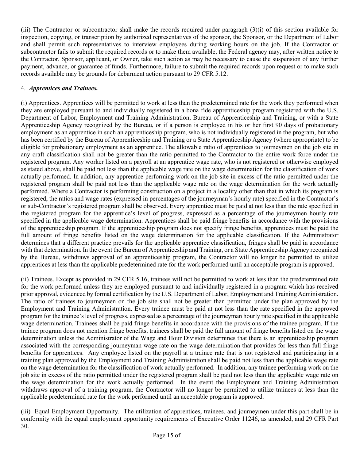(iii) The Contractor or subcontractor shall make the records required under paragraph (3)(i) of this section available for inspection, copying, or transcription by authorized representatives of the sponsor, the Sponsor, or the Department of Labor and shall permit such representatives to interview employees during working hours on the job. If the Contractor or subcontractor fails to submit the required records or to make them available, the Federal agency may, after written notice to the Contractor, Sponsor, applicant, or Owner, take such action as may be necessary to cause the suspension of any further payment, advance, or guarantee of funds. Furthermore, failure to submit the required records upon request or to make such records available may be grounds for debarment action pursuant to 29 CFR 5.12.

#### 4. *Apprentices and Trainees.*

(i) Apprentices. Apprentices will be permitted to work at less than the predetermined rate for the work they performed when they are employed pursuant to and individually registered in a bona fide apprenticeship program registered with the U.S. Department of Labor, Employment and Training Administration, Bureau of Apprenticeship and Training, or with a State Apprenticeship Agency recognized by the Bureau, or if a person is employed in his or her first 90 days of probationary employment as an apprentice in such an apprenticeship program, who is not individually registered in the program, but who has been certified by the Bureau of Apprenticeship and Training or a State Apprenticeship Agency (where appropriate) to be eligible for probationary employment as an apprentice. The allowable ratio of apprentices to journeymen on the job site in any craft classification shall not be greater than the ratio permitted to the Contractor to the entire work force under the registered program. Any worker listed on a payroll at an apprentice wage rate, who is not registered or otherwise employed as stated above, shall be paid not less than the applicable wage rate on the wage determination for the classification of work actually performed. In addition, any apprentice performing work on the job site in excess of the ratio permitted under the registered program shall be paid not less than the applicable wage rate on the wage determination for the work actually performed. Where a Contractor is performing construction on a project in a locality other than that in which its program is registered, the ratios and wage rates (expressed in percentages of the journeyman's hourly rate) specified in the Contractor's or sub-Contractor's registered program shall be observed. Every apprentice must be paid at not less than the rate specified in the registered program for the apprentice's level of progress, expressed as a percentage of the journeymen hourly rate specified in the applicable wage determination. Apprentices shall be paid fringe benefits in accordance with the provisions of the apprenticeship program. If the apprenticeship program does not specify fringe benefits, apprentices must be paid the full amount of fringe benefits listed on the wage determination for the applicable classification. If the Administrator determines that a different practice prevails for the applicable apprentice classification, fringes shall be paid in accordance with that determination. In the event the Bureau of Apprenticeship and Training, or a State Apprenticeship Agency recognized by the Bureau, withdraws approval of an apprenticeship program, the Contractor will no longer be permitted to utilize apprentices at less than the applicable predetermined rate for the work performed until an acceptable program is approved.

(ii) Trainees. Except as provided in 29 CFR 5.16, trainees will not be permitted to work at less than the predetermined rate for the work performed unless they are employed pursuant to and individually registered in a program which has received prior approval, evidenced by formal certification by the U.S. Department of Labor, Employment and Training Administration. The ratio of trainees to journeymen on the job site shall not be greater than permitted under the plan approved by the Employment and Training Administration. Every trainee must be paid at not less than the rate specified in the approved program for the trainee's level of progress, expressed as a percentage of the journeyman hourly rate specified in the applicable wage determination. Trainees shall be paid fringe benefits in accordance with the provisions of the trainee program. If the trainee program does not mention fringe benefits, trainees shall be paid the full amount of fringe benefits listed on the wage determination unless the Administrator of the Wage and Hour Division determines that there is an apprenticeship program associated with the corresponding journeyman wage rate on the wage determination that provides for less than full fringe benefits for apprentices. Any employee listed on the payroll at a trainee rate that is not registered and participating in a training plan approved by the Employment and Training Administration shall be paid not less than the applicable wage rate on the wage determination for the classification of work actually performed. In addition, any trainee performing work on the job site in excess of the ratio permitted under the registered program shall be paid not less than the applicable wage rate on the wage determination for the work actually performed. In the event the Employment and Training Administration withdraws approval of a training program, the Contractor will no longer be permitted to utilize trainees at less than the applicable predetermined rate for the work performed until an acceptable program is approved.

(iii) Equal Employment Opportunity. The utilization of apprentices, trainees, and journeymen under this part shall be in conformity with the equal employment opportunity requirements of Executive Order 11246, as amended, and 29 CFR Part 30.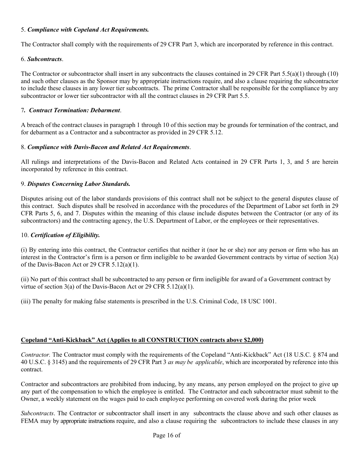#### 5. *Compliance with Copeland Act Requirements.*

The Contractor shall comply with the requirements of 29 CFR Part 3, which are incorporated by reference in this contract.

#### 6. *Subcontracts*.

The Contractor or subcontractor shall insert in any subcontracts the clauses contained in 29 CFR Part  $5.5(a)(1)$  through (10) and such other clauses as the Sponsor may by appropriate instructions require, and also a clause requiring the subcontractor to include these clauses in any lower tier subcontracts. The prime Contractor shall be responsible for the compliance by any subcontractor or lower tier subcontractor with all the contract clauses in 29 CFR Part 5.5.

#### 7*. Contract Termination: Debarment*.

A breach of the contract clauses in paragraph 1 through 10 of this section may be grounds for termination of the contract, and for debarment as a Contractor and a subcontractor as provided in 29 CFR 5.12.

#### 8. *Compliance with Davis-Bacon and Related Act Requirements*.

All rulings and interpretations of the Davis-Bacon and Related Acts contained in 29 CFR Parts 1, 3, and 5 are herein incorporated by reference in this contract.

#### 9. *Disputes Concerning Labor Standards.*

Disputes arising out of the labor standards provisions of this contract shall not be subject to the general disputes clause of this contract. Such disputes shall be resolved in accordance with the procedures of the Department of Labor set forth in 29 CFR Parts 5, 6, and 7. Disputes within the meaning of this clause include disputes between the Contractor (or any of its subcontractors) and the contracting agency, the U.S. Department of Labor, or the employees or their representatives.

#### 10. *Certification of Eligibility.*

(i) By entering into this contract, the Contractor certifies that neither it (nor he or she) nor any person or firm who has an interest in the Contractor's firm is a person or firm ineligible to be awarded Government contracts by virtue of section 3(a) of the Davis-Bacon Act or 29 CFR 5.12(a)(1).

(ii) No part of this contract shall be subcontracted to any person or firm ineligible for award of a Government contract by virtue of section 3(a) of the Davis-Bacon Act or 29 CFR 5.12(a)(1).

(iii) The penalty for making false statements is prescribed in the U.S. Criminal Code, 18 USC 1001.

#### **Copeland "Anti-Kickback" Act (Applies to all CONSTRUCTION contracts above \$2,000)**

*Contractor.* The Contractor must comply with the requirements of the Copeland "Anti-Kickback" Act (18 U.S.C. § 874 and 40 U.S.C. § 3145) and the requirements of 29 CFR Part 3 *as may be applicable*, which are incorporated by reference into this contract.

Contractor and subcontractors are prohibited from inducing, by any means, any person employed on the project to give up any part of the compensation to which the employee is entitled. The Contractor and each subcontractor must submit to the Owner, a weekly statement on the wages paid to each employee performing on covered work during the prior week

*Subcontracts*. The Contractor or subcontractor shall insert in any subcontracts the clause above and such other clauses as FEMA may by appropriate instructions require, and also a clause requiring the subcontractors to include these clauses in any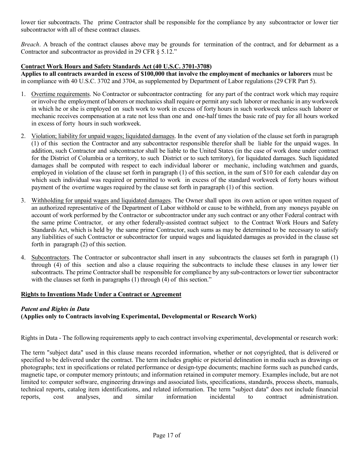lower tier subcontracts. The prime Contractor shall be responsible for the compliance by any subcontractor or lower tier subcontractor with all of these contract clauses.

*Breach*. A breach of the contract clauses above may be grounds for termination of the contract, and for debarment as a Contractor and subcontractor as provided in 29 CFR § 5.12."

#### **Contract Work Hours and Safety Standards Act (40 U.S.C. 3701-3708)**

**Applies to all contracts awarded in excess of \$100,000 that involve the employment of mechanics or laborers** must be in compliance with 40 U.S.C. 3702 and 3704, as supplemented by Department of Labor regulations (29 CFR Part 5).

- 1. Overtime requirements. No Contractor or subcontractor contracting for any part of the contract work which may require or involve the employment of laborers or mechanics shall require or permit any such laborer or mechanic in any workweek in which he or she is employed on such work to work in excess of forty hours in such workweek unless such laborer or mechanic receives compensation at a rate not less than one and one-half times the basic rate of pay for all hours worked in excess of forty hours in such workweek.
- 2. Violation; liability for unpaid wages; liquidated damages. In the event of any violation of the clause set forth in paragraph (1) of this section the Contractor and any subcontractor responsible therefor shall be liable for the unpaid wages. In addition, such Contractor and subcontractor shall be liable to the United States (in the case of work done under contract for the District of Columbia or a territory, to such District or to such territory), for liquidated damages. Such liquidated damages shall be computed with respect to each individual laborer or mechanic, including watchmen and guards, employed in violation of the clause set forth in paragraph (1) of this section, in the sum of \$10 for each calendar day on which such individual was required or permitted to work in excess of the standard workweek of forty hours without payment of the overtime wages required by the clause set forth in paragraph (1) of this section.
- 3. Withholding for unpaid wages and liquidated damages. The Owner shall upon its own action or upon written request of an authorized representative of the Department of Labor withhold or cause to be withheld, from any moneys payable on account of work performed by the Contractor or subcontractor under any such contract or any other Federal contract with the same prime Contractor, or any other federally-assisted contract subject to the Contract Work Hours and Safety Standards Act, which is held by the same prime Contractor, such sums as may be determined to be necessary to satisfy any liabilities of such Contractor or subcontractor for unpaid wages and liquidated damages as provided in the clause set forth in paragraph (2) of this section.
- 4. Subcontractors. The Contractor or subcontractor shall insert in any subcontracts the clauses set forth in paragraph (1) through (4) of this section and also a clause requiring the subcontracts to include these clauses in any lower tier subcontracts. The prime Contractor shall be responsible for compliance by any sub-contractors or lower tier subcontractor with the clauses set forth in paragraphs (1) through (4) of this section."

#### **Rights to Inventions Made Under a Contract or Agreement**

#### *Patent and Rights in Data* **(Applies only to Contracts involving Experimental, Developmental or Research Work)**

Rights in Data - The following requirements apply to each contract involving experimental, developmental or research work:

The term "subject data" used in this clause means recorded information, whether or not copyrighted, that is delivered or specified to be delivered under the contract. The term includes graphic or pictorial delineation in media such as drawings or photographs; text in specifications or related performance or design-type documents; machine forms such as punched cards, magnetic tape, or computer memory printouts; and information retained in computer memory. Examples include, but are not limited to: computer software, engineering drawings and associated lists, specifications, standards, process sheets, manuals, technical reports, catalog item identifications, and related information. The term "subject data" does not include financial reports, cost analyses, and similar information incidental to contract administration.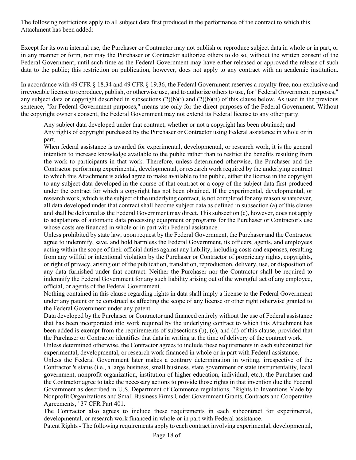The following restrictions apply to all subject data first produced in the performance of the contract to which this Attachment has been added:

Except for its own internal use, the Purchaser or Contractor may not publish or reproduce subject data in whole or in part, or in any manner or form, nor may the Purchaser or Contractor authorize others to do so, without the written consent of the Federal Government, until such time as the Federal Government may have either released or approved the release of such data to the public; this restriction on publication, however, does not apply to any contract with an academic institution.

In accordance with 49 CFR  $\S$  18.34 and 49 CFR  $\S$  19.36, the Federal Government reserves a royalty-free, non-exclusive and irrevocable license to reproduce, publish, or otherwise use, and to authorize others to use, for "Federal Government purposes," any subject data or copyright described in subsections  $(2)(b)(i)$  and  $(2)(b)(ii)$  of this clause below. As used in the previous sentence, "for Federal Government purposes," means use only for the direct purposes of the Federal Government. Without the copyright owner's consent, the Federal Government may not extend its Federal license to any other party.

Any subject data developed under that contract, whether or not a copyright has been obtained; and Any rights of copyright purchased by the Purchaser or Contractor using Federal assistance in whole or in part.

When federal assistance is awarded for experimental, developmental, or research work, it is the general intention to increase knowledge available to the public rather than to restrict the benefits resulting from the work to participants in that work. Therefore, unless determined otherwise, the Purchaser and the Contractor performing experimental, developmental, or research work required by the underlying contract to which this Attachment is added agree to make available to the public, either the license in the copyright to any subject data developed in the course of that contract or a copy of the subject data first produced under the contract for which a copyright has not been obtained. If the experimental, developmental, or research work, which is the subject of the underlying contract, is not completed for any reason whatsoever, all data developed under that contract shall become subject data as defined in subsection (a) of this clause and shall be delivered as the Federal Government may direct. This subsection (c), however, does not apply to adaptations of automatic data processing equipment or programs for the Purchaser or Contractor's use whose costs are financed in whole or in part with Federal assistance.

Unless prohibited by state law, upon request by the Federal Government, the Purchaser and the Contractor agree to indemnify, save, and hold harmless the Federal Government, its officers, agents, and employees acting within the scope of their official duties against any liability, including costs and expenses, resulting from any willful or intentional violation by the Purchaser or Contractor of proprietary rights, copyrights, or right of privacy, arising out of the publication, translation, reproduction, delivery, use, or disposition of any data furnished under that contract. Neither the Purchaser nor the Contractor shall be required to indemnify the Federal Government for any such liability arising out of the wrongful act of any employee, official, or agents of the Federal Government.

Nothing contained in this clause regarding rights in data shall imply a license to the Federal Government under any patent or be construed as affecting the scope of any license or other right otherwise granted to the Federal Government under any patent.

Data developed by the Purchaser or Contractor and financed entirely without the use of Federal assistance that has been incorporated into work required by the underlying contract to which this Attachment has been added is exempt from the requirements of subsections (b), (c), and (d) of this clause, provided that the Purchaser or Contractor identifies that data in writing at the time of delivery of the contract work.

Unless determined otherwise, the Contractor agrees to include these requirements in each subcontract for experimental, developmental, or research work financed in whole or in part with Federal assistance.

Unless the Federal Government later makes a contrary determination in writing, irrespective of the Contractor 's status (i.e., a large business, small business, state government or state instrumentality, local government, nonprofit organization, institution of higher education, individual, etc.), the Purchaser and the Contractor agree to take the necessary actions to provide those rights in that invention due the Federal Government as described in U.S. Department of Commerce regulations, "Rights to Inventions Made by Nonprofit Organizations and Small Business Firms Under Government Grants, Contracts and Cooperative Agreements," 37 CFR Part 401.

The Contractor also agrees to include these requirements in each subcontract for experimental, developmental, or research work financed in whole or in part with Federal assistance.

Patent Rights - The following requirements apply to each contract involving experimental, developmental,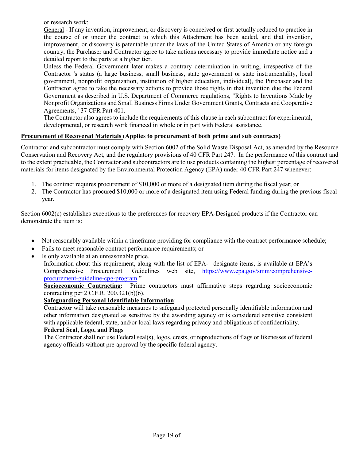or research work:

General - If any invention, improvement, or discovery is conceived or first actually reduced to practice in the course of or under the contract to which this Attachment has been added, and that invention, improvement, or discovery is patentable under the laws of the United States of America or any foreign country, the Purchaser and Contractor agree to take actions necessary to provide immediate notice and a detailed report to the party at a higher tier.

Unless the Federal Government later makes a contrary determination in writing, irrespective of the Contractor 's status (a large business, small business, state government or state instrumentality, local government, nonprofit organization, institution of higher education, individual), the Purchaser and the Contractor agree to take the necessary actions to provide those rights in that invention due the Federal Government as described in U.S. Department of Commerce regulations, "Rights to Inventions Made by Nonprofit Organizations and Small Business Firms Under Government Grants, Contracts and Cooperative Agreements," 37 CFR Part 401.

The Contractor also agrees to include the requirements of this clause in each subcontract for experimental, developmental, or research work financed in whole or in part with Federal assistance.

#### **Procurement of Recovered Materials (Applies to procurement of both prime and sub contracts)**

Contractor and subcontractor must comply with Section 6002 of the Solid Waste Disposal Act, as amended by the Resource Conservation and Recovery Act, and the regulatory provisions of 40 CFR Part 247. In the performance of this contract and to the extent practicable, the Contractor and subcontractors are to use products containing the highest percentage of recovered materials for items designated by the Environmental Protection Agency (EPA) under 40 CFR Part 247 whenever:

- 1. The contract requires procurement of \$10,000 or more of a designated item during the fiscal year; or
- 2. The Contractor has procured \$10,000 or more of a designated item using Federal funding during the previous fiscal year.

Section 6002(c) establishes exceptions to the preferences for recovery EPA-Designed products if the Contractor can demonstrate the item is:

- Not reasonably available within a timeframe providing for compliance with the contract performance schedule;
- Fails to meet reasonable contract performance requirements; or
- Is only available at an unreasonable price.

Information about this requirement, along with the list of EPA- designate items, is available at EPA's Comprehensive Procurement Guidelines web site, [https://www.epa.gov/smm/comprehensive](https://www.epa.gov/smm/comprehensive-procurement-guideline-cpg-program)[procurement-guideline-cpg-program.](https://www.epa.gov/smm/comprehensive-procurement-guideline-cpg-program)"

**Socioeconomic Contracting:** Prime contractors must affirmative steps regarding socioeconomic contracting per 2 C.F.R. 200.321(b)(6).

#### **Safeguarding Personal Identifiable Information**:

Contracto**r** will take reasonable measures to safeguard protected personally identifiable information and other information designated as sensitive by the awarding agency or is considered sensitive consistent with applicable federal, state, and/or local laws regarding privacy and obligations of confidentiality.

#### **Federal Seal, Logo, and Flags**

The Contractor shall not use Federal seal(s), logos, crests, or reproductions of flags or likenesses of federal agency officials without pre-approval by the specific federal agency.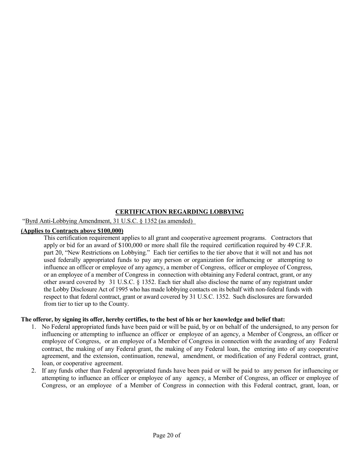#### **CERTIFICATION REGARDING LOBBYING**

#### "Byrd Anti-Lobbying Amendment, 31 U.S.C. § 1352 (as amended)

#### **(Applies to Contracts above \$100,000)**

This certification requirement applies to all grant and cooperative agreement programs. Contractors that apply or bid for an award of \$100,000 or more shall file the required certification required by 49 C.F.R. part 20, "New Restrictions on Lobbying." Each tier certifies to the tier above that it will not and has not used federally appropriated funds to pay any person or organization for influencing or attempting to influence an officer or employee of any agency, a member of Congress, officer or employee of Congress, or an employee of a member of Congress in connection with obtaining any Federal contract, grant, or any other award covered by 31 U.S.C. § 1352. Each tier shall also disclose the name of any registrant under the Lobby Disclosure Act of 1995 who has made lobbying contacts on its behalf with non-federal funds with respect to that federal contract, grant or award covered by 31 U.S.C. 1352. Such disclosures are forwarded from tier to tier up to the County.

#### **The offeror, by signing its offer, hereby certifies, to the best of his or her knowledge and belief that:**

- 1. No Federal appropriated funds have been paid or will be paid, by or on behalf of the undersigned, to any person for influencing or attempting to influence an officer or employee of an agency, a Member of Congress, an officer or employee of Congress, or an employee of a Member of Congress in connection with the awarding of any Federal contract, the making of any Federal grant, the making of any Federal loan, the entering into of any cooperative agreement, and the extension, continuation, renewal, amendment, or modification of any Federal contract, grant, loan, or cooperative agreement.
- 2. If any funds other than Federal appropriated funds have been paid or will be paid to any person for influencing or attempting to influence an officer or employee of any agency, a Member of Congress, an officer or employee of Congress, or an employee of a Member of Congress in connection with this Federal contract, grant, loan, or